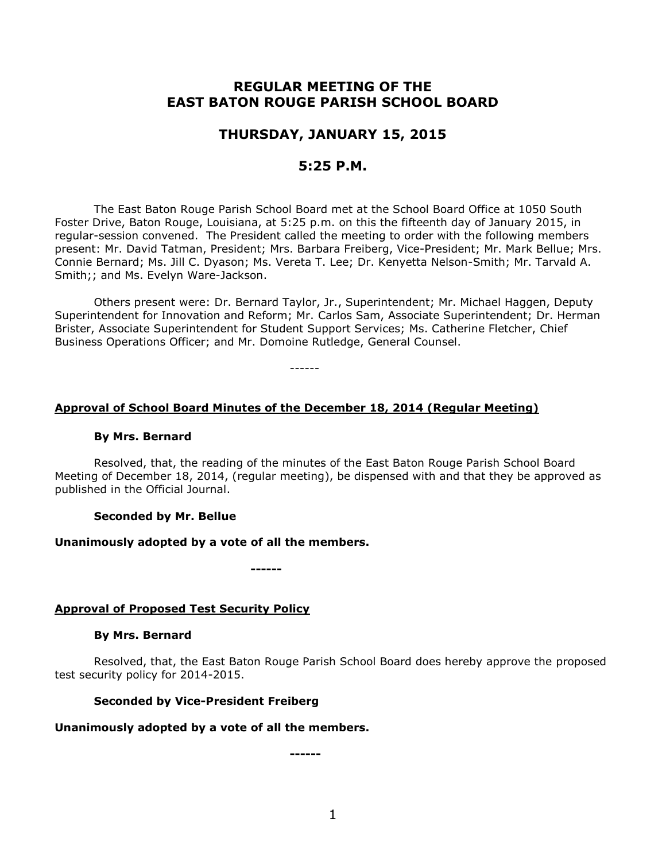# **REGULAR MEETING OF THE EAST BATON ROUGE PARISH SCHOOL BOARD**

# **THURSDAY, JANUARY 15, 2015**

## **5:25 P.M.**

The East Baton Rouge Parish School Board met at the School Board Office at 1050 South Foster Drive, Baton Rouge, Louisiana, at 5:25 p.m. on this the fifteenth day of January 2015, in regular-session convened. The President called the meeting to order with the following members present: Mr. David Tatman, President; Mrs. Barbara Freiberg, Vice-President; Mr. Mark Bellue; Mrs. Connie Bernard; Ms. Jill C. Dyason; Ms. Vereta T. Lee; Dr. Kenyetta Nelson-Smith; Mr. Tarvald A. Smith;; and Ms. Evelyn Ware-Jackson.

Others present were: Dr. Bernard Taylor, Jr., Superintendent; Mr. Michael Haggen, Deputy Superintendent for Innovation and Reform; Mr. Carlos Sam, Associate Superintendent; Dr. Herman Brister, Associate Superintendent for Student Support Services; Ms. Catherine Fletcher, Chief Business Operations Officer; and Mr. Domoine Rutledge, General Counsel.

------

## **Approval of School Board Minutes of the December 18, 2014 (Regular Meeting)**

#### **By Mrs. Bernard**

Resolved, that, the reading of the minutes of the East Baton Rouge Parish School Board Meeting of December 18, 2014, (regular meeting), be dispensed with and that they be approved as published in the Official Journal.

#### **Seconded by Mr. Bellue**

#### **Unanimously adopted by a vote of all the members.**

**------**

## **Approval of Proposed Test Security Policy**

#### **By Mrs. Bernard**

Resolved, that, the East Baton Rouge Parish School Board does hereby approve the proposed test security policy for 2014-2015.

#### **Seconded by Vice-President Freiberg**

#### **Unanimously adopted by a vote of all the members.**

**------**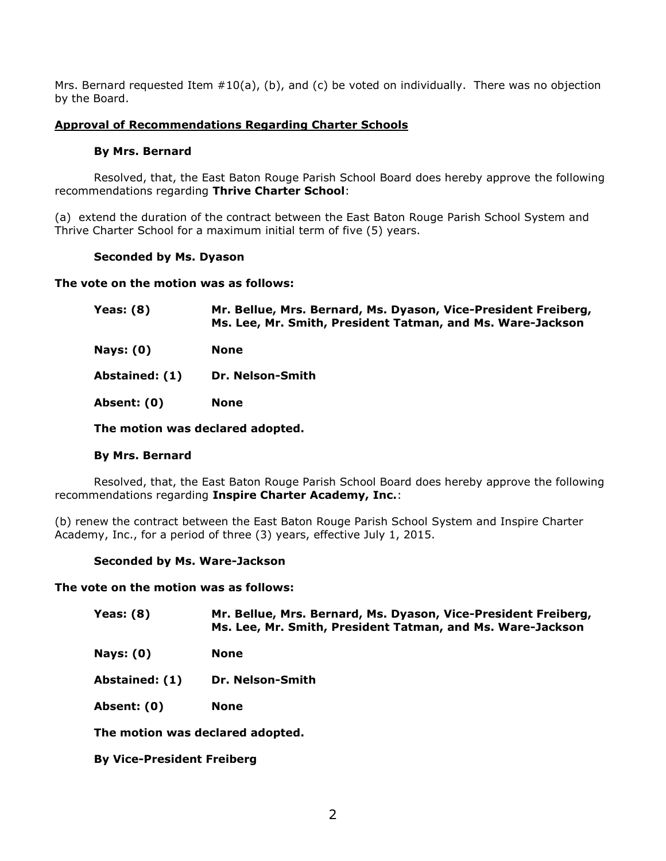Mrs. Bernard requested Item  $#10(a)$ , (b), and (c) be voted on individually. There was no objection by the Board.

## **Approval of Recommendations Regarding Charter Schools**

## **By Mrs. Bernard**

Resolved, that, the East Baton Rouge Parish School Board does hereby approve the following recommendations regarding **Thrive Charter School**:

(a) extend the duration of the contract between the East Baton Rouge Parish School System and Thrive Charter School for a maximum initial term of five (5) years.

### **Seconded by Ms. Dyason**

**The vote on the motion was as follows:**

| Yeas: $(8)$    | Mr. Bellue, Mrs. Bernard, Ms. Dyason, Vice-President Freiberg,<br>Ms. Lee, Mr. Smith, President Tatman, and Ms. Ware-Jackson |
|----------------|------------------------------------------------------------------------------------------------------------------------------|
| Nays: $(0)$    | None                                                                                                                         |
| Abstained: (1) | Dr. Nelson-Smith                                                                                                             |
| Absent: (0)    | None                                                                                                                         |
|                | The motion was declared adopted.                                                                                             |

## **By Mrs. Bernard**

Resolved, that, the East Baton Rouge Parish School Board does hereby approve the following recommendations regarding **Inspire Charter Academy, Inc.**:

(b) renew the contract between the East Baton Rouge Parish School System and Inspire Charter Academy, Inc., for a period of three (3) years, effective July 1, 2015.

## **Seconded by Ms. Ware-Jackson**

**The vote on the motion was as follows:**

| Yeas: (8) | Mr. Bellue, Mrs. Bernard, Ms. Dyason, Vice-President Freiberg, |
|-----------|----------------------------------------------------------------|
|           | Ms. Lee, Mr. Smith, President Tatman, and Ms. Ware-Jackson     |

**Nays: (0) None**

**Abstained: (1) Dr. Nelson-Smith**

**Absent: (0) None**

**The motion was declared adopted.**

**By Vice-President Freiberg**